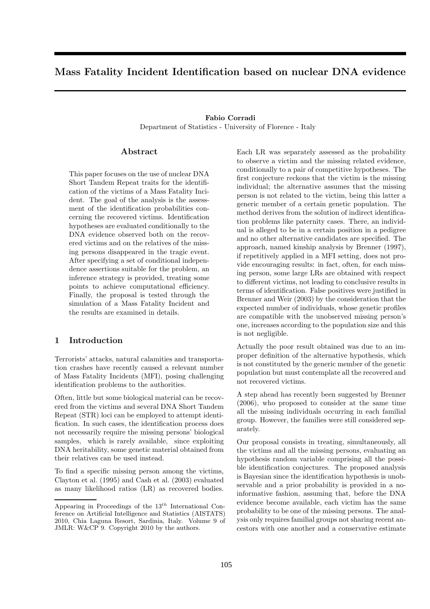# Mass Fatality Incident Identification based on nuclear DNA evidence

# Fabio Corradi Department of Statistics - University of Florence - Italy

### Abstract

This paper focuses on the use of nuclear DNA Short Tandem Repeat traits for the identification of the victims of a Mass Fatality Incident. The goal of the analysis is the assessment of the identification probabilities concerning the recovered victims. Identification hypotheses are evaluated conditionally to the DNA evidence observed both on the recovered victims and on the relatives of the missing persons disappeared in the tragic event. After specifying a set of conditional independence assertions suitable for the problem, an inference strategy is provided, treating some points to achieve computational efficiency. Finally, the proposal is tested through the simulation of a Mass Fatality Incident and the results are examined in details.

## 1 Introduction

Terrorists' attacks, natural calamities and transportation crashes have recently caused a relevant number of Mass Fatality Incidents (MFI), posing challenging identification problems to the authorities.

Often, little but some biological material can be recovered from the victims and several DNA Short Tandem Repeat (STR) loci can be employed to attempt identification. In such cases, the identification process does not necessarily require the missing persons' biological samples, which is rarely available, since exploiting DNA heritability, some genetic material obtained from their relatives can be used instead.

To find a specific missing person among the victims, Clayton et al. (1995) and Cash et al. (2003) evaluated as many likelihood ratios (LR) as recovered bodies.

Each LR was separately assessed as the probability to observe a victim and the missing related evidence, conditionally to a pair of competitive hypotheses. The first conjecture reckons that the victim is the missing individual; the alternative assumes that the missing person is not related to the victim, being this latter a generic member of a certain genetic population. The method derives from the solution of indirect identification problems like paternity cases. There, an individual is alleged to be in a certain position in a pedigree and no other alternative candidates are specified. The approach, named kinship analysis by Brenner (1997), if repetitively applied in a MFI setting, does not provide encouraging results: in fact, often, for each missing person, some large LRs are obtained with respect to different victims, not leading to conclusive results in terms of identification. False positives were justified in Brenner and Weir (2003) by the consideration that the expected number of individuals, whose genetic profiles are compatible with the unobserved missing person's one, increases according to the population size and this is not negligible.

Actually the poor result obtained was due to an improper definition of the alternative hypothesis, which is not constituted by the generic member of the genetic population but must contemplate all the recovered and not recovered victims.

A step ahead has recently been suggested by Brenner (2006), who proposed to consider at the same time all the missing individuals occurring in each familial group. However, the families were still considered separately.

Our proposal consists in treating, simultaneously, all the victims and all the missing persons, evaluating an hypothesis random variable comprising all the possible identification conjectures. The proposed analysis is Bayesian since the identification hypothesis is unobservable and a prior probability is provided in a noinformative fashion, assuming that, before the DNA evidence become available, each victim has the same probability to be one of the missing persons. The analysis only requires familial groups not sharing recent ancestors with one another and a conservative estimate

Appearing in Proceedings of the  $13^{th}$  International Conference on Artificial Intelligence and Statistics (AISTATS) 2010, Chia Laguna Resort, Sardinia, Italy. Volume 9 of JMLR: W&CP 9. Copyright 2010 by the authors.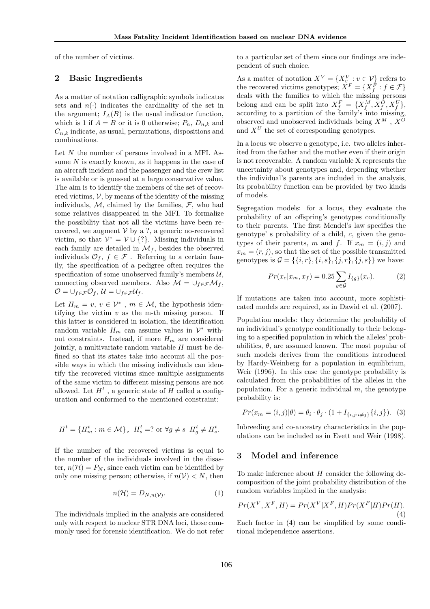of the number of victims.

## 2 Basic Ingredients

As a matter of notation calligraphic symbols indicates sets and  $n(\cdot)$  indicates the cardinality of the set in the argument;  $I_A(B)$  is the usual indicator function, which is 1 if  $A = B$  or it is 0 otherwise;  $P_n$ ,  $D_{n,k}$  and  $C_{n,k}$  indicate, as usual, permutations, dispositions and combinations.

Let N the number of persons involved in a MFI. Assume  $N$  is exactly known, as it happens in the case of an aircraft incident and the passenger and the crew list is available or is guessed at a large conservative value. The aim is to identify the members of the set of recovered victims,  $V$ , by means of the identity of the missing individuals, M, claimed by the families,  $\mathcal{F}$ , who had some relatives disappeared in the MFI. To formalize the possibility that not all the victims have been recovered, we augment  $V$  by a ?, a generic no-recovered victim, so that  $\mathcal{V}^* = \mathcal{V} \cup \{?\}.$  Missing individuals in each family are detailed in  $\mathcal{M}_f$ , besides the observed individuals  $\mathcal{O}_f$ ,  $f \in \mathcal{F}$ . Referring to a certain family, the specification of a pedigree often requires the specification of some unobserved family's members  $\mathcal{U}$ , connecting observed members. Also  $\mathcal{M} = \cup_{f \in \mathcal{F}} \mathcal{M}_f$ ,  $\mathcal{O} = \cup_{f \in \mathcal{F}} \mathcal{O}_f, \mathcal{U} = \cup_{f \in \mathcal{F}} \mathcal{U}_f.$ 

Let  $H_m = v, v \in \mathcal{V}^*$ ,  $m \in \mathcal{M}$ , the hypothesis identifying the victim  $v$  as the m-th missing person. If this latter is considered in isolation, the identification random variable  $H_m$  can assume values in  $\mathcal{V}^*$  without constraints. Instead, if more  $H_m$  are considered jointly, a multivariate random variable  $H$  must be defined so that its states take into account all the possible ways in which the missing individuals can identify the recovered victims since multiple assignments of the same victim to different missing persons are not allowed. Let  $H^t$ , a generic state of H called a configuration and conformed to the mentioned constraint:

$$
H^t = \{H^t_m : m \in \mathcal{M}\}, \ H^t_s = ? \text{ or } \forall g \neq s \ H^t_g \neq H^t_s.
$$

If the number of the recovered victims is equal to the number of the individuals involved in the disaster,  $n(\mathcal{H}) = P_N$ , since each victim can be identified by only one missing person; otherwise, if  $n(\mathcal{V}) < N$ , then

$$
n(\mathcal{H}) = D_{N,n(\mathcal{V})}.\tag{1}
$$

The individuals implied in the analysis are considered only with respect to nuclear STR DNA loci, those commonly used for forensic identification. We do not refer to a particular set of them since our findings are independent of such choice.

As a matter of notation  $X^V = \{X^V_{v} : v \in V\}$  refers to the recovered victims genotypes;  $X^F = \{X_f^F : f \in \mathcal{F}\}\$ deals with the families to which the missing persons belong and can be split into  $X_f^F = \{X_f^M, X_g^O, X_f^U\},\$ according to a partition of the family's into missing, observed and unobserved individuals being  $X^M$  ,  $X^O$ and  $X^U$  the set of corresponding genotypes.

In a locus we observe a genotype, i.e. two alleles inherited from the father and the mother even if their origin is not recoverable. A random variable X represents the uncertainty about genotypes and, depending whether the individual's parents are included in the analysis, its probability function can be provided by two kinds of models.

Segregation models: for a locus, they evaluate the probability of an offspring's genotypes conditionally to their parents. The first Mendel's law specifies the genotype' s probability of a child, c, given the genotypes of their parents, m and f. If  $x_m = (i, j)$  and  $x_m = (r, j)$ , so that the set of the possible transmitted genotypes is  $G = \{\{i, r\}, \{i, s\}, \{j, r\}, \{j, s\}\}\$ we have:

$$
Pr(x_c|x_m, x_f) = 0.25 \sum_{g \in \mathcal{G}} I_{\{g\}}(x_c). \tag{2}
$$

If mutations are taken into account, more sophisticated models are required, as in Dawid et al. (2007).

Population models: they determine the probability of an individual's genotype conditionally to their belonging to a specified population in which the alleles' probabilities,  $\theta$ , are assumed known. The most popular of such models derives from the conditions introduced by Hardy-Weinberg for a population in equilibrium, Weir (1996). In this case the genotype probability is calculated from the probabilities of the alleles in the population. For a generic individual  $m$ , the genotype probability is:

$$
Pr(x_m = (i, j) | \theta) = \theta_i \cdot \theta_j \cdot (1 + I_{\{i, j : i \neq j\}} \{i, j\}).
$$
 (3)

Inbreeding and co-ancestry characteristics in the populations can be included as in Evett and Weir (1998).

### 3 Model and inference

To make inference about  $H$  consider the following decomposition of the joint probability distribution of the random variables implied in the analysis:

$$
Pr(X^V, X^F, H) = Pr(X^V|X^F, H)Pr(X^F|H)Pr(H).
$$
\n(4)

Each factor in (4) can be simplified by some conditional independence assertions.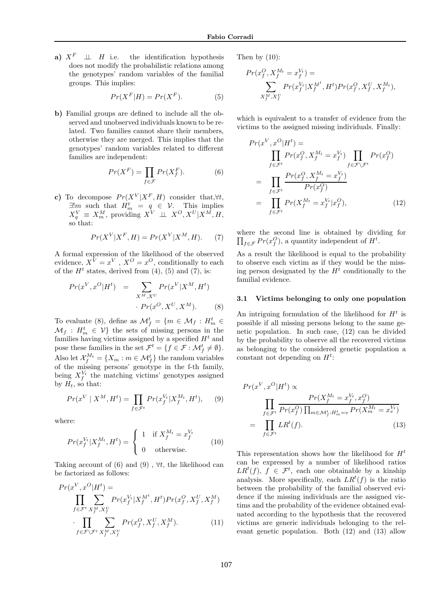a)  $X^F \perp \perp H$  i.e. the identification hypothesis does not modify the probabilistic relations among the genotypes' random variables of the familial groups. This implies:

$$
Pr(X^F|H) = Pr(X^F). \tag{5}
$$

b) Familial groups are defined to include all the observed and unobserved individuals known to be related. Two families cannot share their members, otherwise they are merged. This implies that the genotypes' random variables related to different families are independent:

$$
Pr(X^F) = \prod_{f \in \mathcal{F}} Pr(X_f^F). \tag{6}
$$

c) To decompose  $Pr(X^V|X^F, H)$  consider that, $\forall t$ ,  $\exists! m$  such that  $H_m^t = q \in \mathcal{V}$ . This implies  $X_q^V \equiv X_m^M$ , providing  $X^V \perp \!\!\! \perp X^O, X^U | X^M, H$ , so that:

$$
Pr(X^V|X^F, H) = Pr(X^V|X^M, H). \tag{7}
$$

A formal expression of the likelihood of the observed evidence,  $X^V = x^V$ ,  $X^O = x^O$ , conditionally to each of the  $H<sup>t</sup>$  states, derived from (4), (5) and (7), is:

$$
Pr(x^V, x^O | H^t) = \sum_{X^M, X^U} Pr(x^V | X^M, H^t)
$$

$$
\cdot Pr(x^O, X^U, X^M). \tag{8}
$$

To evaluate (8), define as  $\mathcal{M}_f^t = \{m \in \mathcal{M}_f : H_m^t \in$  $\mathcal{M}_f$ :  $H_m^t \in \mathcal{V}$  the sets of missing persons in the families having victims assigned by a specified  $H<sup>t</sup>$  and pose these families in the set  $\mathcal{F}^t = \{f \in \mathcal{F} : \mathcal{M}_f^t \neq \emptyset\}.$ Also let  $\mathcal{X}_f^{M_t} = \{X_m : m \in \mathcal{M}_f^t\}$  the random variables of the missing persons' genotype in the f-th family, being  $X_f^{V_t}$  the matching victims' genotypes assigned by  $H_t$ , so that:

$$
Pr(x^{V} | X^{M}, H^{t}) = \prod_{f \in \mathcal{F}^{t}} Pr(x_{f}^{V_{t}} | X_{f}^{M_{t}}, H^{t}), \quad (9)
$$

where:

$$
Pr(x_f^{V_t}|X_f^{M_t},H^t) = \begin{cases} 1 & \text{if } X_f^{M_t} = x_f^{V_t} \\ 0 & \text{otherwise.} \end{cases}
$$
 (10)

Taking account of (6) and (9),  $\forall t$ , the likelihood can be factorized as follows:

$$
Pr(x^V, x^O | H^t) = \prod_{f \in \mathcal{F}^t} \sum_{X_f^M, X_f^U} Pr(x_f^V | X_f^{M^t}, H^t) Pr(x_f^O, X_f^U, X_f^M) \cdot \prod_{f \in \mathcal{F} \backslash \mathcal{F}^t} \sum_{X_f^M, X_f^U} Pr(x_f^O, X_f^U, X_f^M).
$$
(11)

Then by  $(10)$ :

$$
Pr(x_f^O, X_f^{M_t} = x_f^{V_t}) =
$$
  

$$
\sum_{X_f^M, X_f^U} Pr(x_f^{V_t} | X_f^{M^t}, H^t) Pr(x_f^O, X_f^U, X_f^{M_t}),
$$

which is equivalent to a transfer of evidence from the victims to the assigned missing individuals. Finally:

$$
Pr(x^V, x^O | H^t) =
$$
\n
$$
\prod_{f \in \mathcal{F}^t} Pr(x_f^O, X_f^{M_t} = x_f^{V_t}) \prod_{f \in \mathcal{F} \setminus \mathcal{F}^t} Pr(x_f^O)
$$
\n
$$
= \prod_{f \in \mathcal{F}^t} \frac{Pr(x_f^O, X_f^{M_t} = x_f^{V_t})}{Pr(x_f^O)}
$$
\n
$$
= \prod_{f \in \mathcal{F}^t} Pr(X_f^{M_t} = x_f^{V_t} | x_f^O), \qquad (12)
$$

where the second line is obtained by dividing for  $\prod_{f \in \mathcal{F}} Pr(x_f^O)$ , a quantity independent of  $H^t$ .

As a result the likelihood is equal to the probability to observe each victim as if they would be the missing person designated by the  $H<sup>t</sup>$  conditionally to the familial evidence.

#### 3.1 Victims belonging to only one population

An intriguing formulation of the likelihood for  $H<sup>t</sup>$  is possible if all missing persons belong to the same genetic population. In such case, (12) can be divided by the probability to observe all the recovered victims as belonging to the considered genetic population a constant not depending on  $H^t$ :

$$
Pr(x^V, x^O | H^t) \propto
$$
  
\n
$$
\prod_{f \in \mathcal{F}^t} \frac{Pr(X_f^{M_t} = x_f^{V_t}, x_f^O)}{Pr(x_f^O) \prod_{m \in \mathcal{M}_f^t : H_m^t = v} Pr(X_m^{M_t} = x_v^{V_t})}
$$
  
\n
$$
= \prod_{f \in \mathcal{F}^t} LR^t(f).
$$
\n(13)

This representation shows how the likelihood for  $H<sup>t</sup>$ can be expressed by a number of likelihood ratios  $LR^{t}(f), f \in \mathcal{F}^{t}$ , each one obtainable by a kinship analysis. More specifically, each  $LR^{t}(f)$  is the ratio between the probability of the familial observed evidence if the missing individuals are the assigned victims and the probability of the evidence obtained evaluated according to the hypothesis that the recovered victims are generic individuals belonging to the relevant genetic population. Both (12) and (13) allow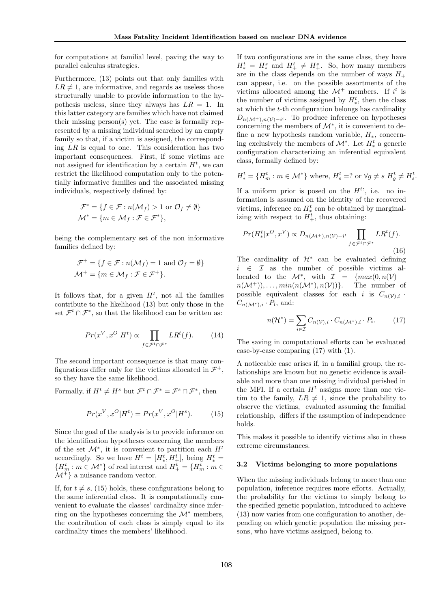for computations at familial level, paving the way to parallel calculus strategies.

Furthermore, (13) points out that only families with  $LR \neq 1$ , are informative, and regards as useless those structurally unable to provide information to the hypothesis useless, since they always has  $LR = 1$ . In this latter category are families which have not claimed their missing person(s) yet. The case is formally represented by a missing individual searched by an empty family so that, if a victim is assigned, the corresponding  $LR$  is equal to one. This consideration has two important consequences. First, if some victims are not assigned for identification by a certain  $H<sup>t</sup>$ , we can restrict the likelihood computation only to the potentially informative families and the associated missing individuals, respectively defined by:

$$
\mathcal{F}^* = \{ f \in \mathcal{F} : n(\mathcal{M}_f) > 1 \text{ or } \mathcal{O}_f \neq \emptyset \}
$$
  

$$
\mathcal{M}^* = \{ m \in \mathcal{M}_f : \mathcal{F} \in \mathcal{F}^* \},
$$

being the complementary set of the non informative families defined by:

$$
\mathcal{F}^+ = \{ f \in \mathcal{F} : n(\mathcal{M}_f) = 1 \text{ and } \mathcal{O}_f = \emptyset \}
$$
  

$$
\mathcal{M}^+ = \{ m \in \mathcal{M}_f : \mathcal{F} \in \mathcal{F}^+ \}.
$$

It follows that, for a given  $H<sup>t</sup>$ , not all the families contribute to the likelihood (13) but only those in the set  $\mathcal{F}^t \cap \mathcal{F}^*$ , so that the likelihood can be written as:

$$
Pr(x^V, x^O | H^t) \propto \prod_{f \in \mathcal{F}^t \cap \mathcal{F}^*} LR^t(f). \tag{14}
$$

The second important consequence is that many configurations differ only for the victims allocated in  $\mathcal{F}^+$ , so they have the same likelihood.

Formally, if  $H^t \neq H^s$  but  $\mathcal{F}^t \cap \mathcal{F}^* = \mathcal{F}^s \cap \mathcal{F}^*$ , then

$$
Pr(x^{V}, x^{O}|H^{t}) = Pr(x^{V}, x^{O}|H^{s}).
$$
 (15)

Since the goal of the analysis is to provide inference on the identification hypotheses concerning the members of the set  $\mathcal{M}^*$ , it is convenient to partition each  $H^t$ accordingly. So we have  $H^t = [H_*^t, H_+^t]$ , being  $H_*^t =$  ${H_m^t : m \in \mathcal{M}^*}$  of real interest and  $H_+^t = {H_m^t : m \in \mathbb{R}^d}$  $M^+$  a nuisance random vector.

If, for  $t \neq s$ , (15) holds, these configurations belong to the same inferential class. It is computationally convenient to evaluate the classes' cardinality since inferring on the hypotheses concerning the  $\mathcal{M}^*$  members, the contribution of each class is simply equal to its cardinality times the members' likelihood.

If two configurations are in the same class, they have  $H_*^t = H_*^s$  and  $H_+^t \neq H_+^s$ . So, how many members are in the class depends on the number of ways  $H_+$ can appear, i.e. on the possible assortments of the victims allocated among the  $\mathcal{M}^+$  members. If  $i^t$  is the number of victims assigned by  $H_*^t$ , then the class at which the  $t$ -th configuration belongs has cardinality  $D_{n(\mathcal{M}^+),n(\mathcal{V})-i^t}$ . To produce inference on hypotheses concerning the members of  $\mathcal{M}^*$ , it is convenient to define a new hypothesis random variable,  $H_*$ , concerning exclusively the members of  $\mathcal{M}^*$ . Let  $H_*^t$  a generic configuration characterizing an inferential equivalent class, formally defined by:

$$
H^t_* = \{H^t_m : m \in \mathcal{M}^*\} \text{ where, } H^t_s = ? \text{ or } \forall g \neq s \ H^t_g \neq H^t_s.
$$

If a uniform prior is posed on the  $H<sup>t</sup>$ , i.e. no information is assumed on the identity of the recovered victims, inference on  $H_*^t$  can be obtained by marginalizing with respect to  $H_+^t$ , thus obtaining:

$$
Pr(H^t_* | x^O, x^V) \propto D_{n(\mathcal{M}^+), n(\mathcal{V}) - i^t} \prod_{f \in \mathcal{F}^t \cap \mathcal{F}^*} LR^t(f).
$$
\n(16)

The cardinality of  $\mathcal{H}^*$  can be evaluated defining  $i \in \mathcal{I}$  as the number of possible victims allocated to the  $\mathcal{M}^*$ , with  $\mathcal{I} = \{max(0,n(\mathcal{V}) - \mathcal{V}\})$  $n(\mathcal{M}^+))$ , ...,  $min(n(\mathcal{M}^*), n(\mathcal{V}))$ . The number of possible equivalent classes for each i is  $C_{n(\mathcal{V}),i}$ .  $C_{n(\mathcal{M}^*),i} \cdot P_i$ , and:

$$
n(\mathcal{H}^*) = \sum_{i \in \mathcal{I}} C_{n(\mathcal{V}), i} \cdot C_{n(\mathcal{M}^*), i} \cdot P_i.
$$
 (17)

The saving in computational efforts can be evaluated case-by-case comparing (17) with (1).

A noticeable case arises if, in a familial group, the relationships are known but no genetic evidence is available and more than one missing individual perished in the MFI. If a certain  $H<sup>t</sup>$  assigns more than one victim to the family,  $LR \neq 1$ , since the probability to observe the victims, evaluated assuming the familial relationship, differs if the assumption of independence holds.

This makes it possible to identify victims also in these extreme circumstances.

#### 3.2 Victims belonging to more populations

When the missing individuals belong to more than one population, inference requires more efforts. Actually, the probability for the victims to simply belong to the specified genetic population, introduced to achieve (13) now varies from one configuration to another, depending on which genetic population the missing persons, who have victims assigned, belong to.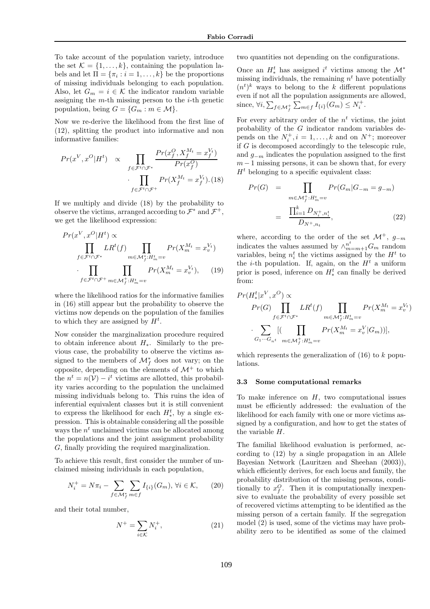To take account of the population variety, introduce the set  $\mathcal{K} = \{1, \ldots, k\}$ , containing the population labels and let  $\Pi = {\pi_i : i = 1, ..., k}$  be the proportions of missing individuals belonging to each population. Also, let  $G_m = i \in \mathcal{K}$  the indicator random variable assigning the  $m$ -th missing person to the  $i$ -th genetic population, being  $G = \{G_m : m \in \mathcal{M}\}.$ 

Now we re-derive the likelihood from the first line of (12), splitting the product into informative and non informative families:

$$
Pr(x^V, x^O | H^t) \propto \prod_{f \in \mathcal{F}^t \cap \mathcal{F}^*} \frac{Pr(x_f^O, X_f^{M_t} = x_f^{V_t})}{Pr(x_f^O)}
$$

$$
\cdot \prod_{f \in \mathcal{F}^t \cap \mathcal{F}^+} Pr(X_f^{M_t} = x_f^{V_t}). (18)
$$

If we multiply and divide (18) by the probability to observe the victims, arranged according to  $\mathcal{F}^*$  and  $\mathcal{F}^+$ , we get the likelihood expression:

$$
Pr(x^{V}, x^{O} | H^{t}) \propto \prod_{f \in \mathcal{F}^{t} \cap \mathcal{F}^{*}} LR^{t}(f) \prod_{m \in \mathcal{M}_{f}^{*}: H_{m}^{t} = v} Pr(X_{m}^{M_{t}} = x_{v}^{V_{t}})
$$

$$
\cdot \prod_{f \in \mathcal{F}^{t} \cap \mathcal{F}^{+}} \prod_{m \in \mathcal{M}_{f}^{+}: H_{m}^{t} = v} Pr(X_{m}^{M_{t}} = x_{v}^{V_{t}}), \quad (19)
$$

where the likelihood ratios for the informative families in (16) still appear but the probability to observe the victims now depends on the population of the families to which they are assigned by  $H^t$ .

Now consider the marginalization procedure required to obtain inference about  $H_*$ . Similarly to the previous case, the probability to observe the victims assigned to the members of  $\mathcal{M}_{f}^{*}$  does not vary; on the opposite, depending on the elements of  $\mathcal{M}^+$  to which the  $n^t = n(\mathcal{V}) - i^t$  victims are allotted, this probability varies according to the population the unclaimed missing individuals belong to. This ruins the idea of inferential equivalent classes but it is still convenient to express the likelihood for each  $H_*^t$ , by a single expression. This is obtainable considering all the possible ways the  $n<sup>t</sup>$  unclaimed victims can be allocated among the populations and the joint assignment probability G, finally providing the required marginalization.

To achieve this result, first consider the number of unclaimed missing individuals in each population,

$$
N_i^+ = N\pi_i - \sum_{f \in \mathcal{M}_f^*} \sum_{m \in f} I_{\{i\}}(G_m), \,\forall i \in \mathcal{K},\qquad(20)
$$

and their total number,

$$
N^+ = \sum_{i \in \mathcal{K}} N_i^+, \tag{21}
$$

two quantities not depending on the configurations.

Once an  $H^t_*$  has assigned  $i^t$  victims among the  $\mathcal{M}^*$ missing individuals, the remaining  $n<sup>t</sup>$  have potentially  $(n<sup>t</sup>)<sup>k</sup>$  ways to belong to the k different populations even if not all the population assignments are allowed, since,  $\forall i, \sum_{f \in \mathcal{M}_f^+} \sum_{m \in f} I_{\{i\}}(G_m) \leq N_i^+$ .

For every arbitrary order of the  $n<sup>t</sup>$  victims, the joint probability of the G indicator random variables depends on the  $N_i^+, i = 1, \ldots, k$  and on  $N^+$ ; moreover if G is decomposed accordingly to the telescopic rule, and  $q_{-m}$  indicates the population assigned to the first  $m-1$  missing persons, it can be shown that, for every  $H<sup>t</sup>$  belonging to a specific equivalent class:

$$
Pr(G) = \prod_{m \in \mathcal{M}_f^+, H_m^t = v} Pr(G_m | G_{-m} = g_{-m})
$$

$$
= \frac{\prod_{i=1}^k D_{N_i^+, n_i^t}}{D_{N^+, n_t}}, \tag{22}
$$

where, according to the order of the set  $\mathcal{M}^+$ ,  $g_{-m}$ indicates the values assumed by  $\wedge_{m=m+1}^{n^t} G_m$  random variables, being  $n_i^t$  the victims assigned by the  $H^t$  to the *i*-th population. If, again, on the  $H<sup>t</sup>$  a uniform prior is posed, inference on  $H_*^t$  can finally be derived from:

$$
Pr(H^t_*|x^V, x^O) \propto
$$
  
\n
$$
Pr(G) \prod_{f \in \mathcal{F}^t \cap \mathcal{F}^*} LR^t(f) \prod_{m \in \mathcal{M}^*_f : H^t_m = v} Pr(X^{M_t}_m = x^{V_t}_v)
$$
  
\n
$$
\cdot \sum_{G_1 \cdots G_{nt}} [(\prod_{m \in \mathcal{M}^+_f : H^t_m = v} Pr(X^{M_t}_m = x^V_v | G_m))],
$$

which represents the generalization of  $(16)$  to k populations.

#### 3.3 Some computational remarks

To make inference on  $H$ , two computational issues must be efficiently addressed: the evaluation of the likelihood for each family with one or more victims assigned by a configuration, and how to get the states of the variable H.

The familial likelihood evaluation is performed, according to (12) by a single propagation in an Allele Bayesian Network (Lauritzen and Sheehan (2003)), which efficiently derives, for each locus and family, the probability distribution of the missing persons, conditionally to  $x_f^O$ . Then it is computationally inexpensive to evaluate the probability of every possible set of recovered victims attempting to be identified as the missing person of a certain family. If the segregation model (2) is used, some of the victims may have probability zero to be identified as some of the claimed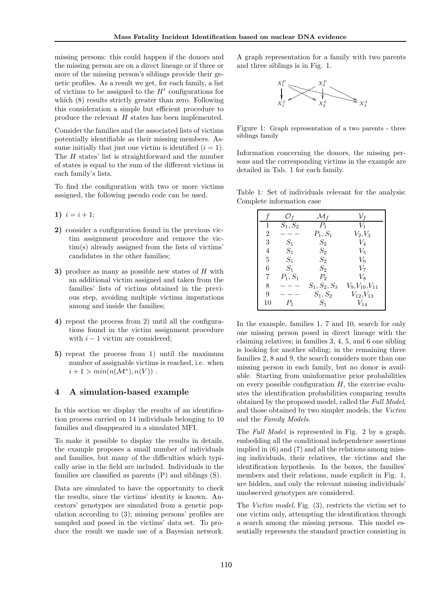missing persons: this could happen if the donors and the missing person are on a direct lineage or if three or more of the missing person's siblings provide their genetic profiles. As a result we get, for each family, a list of victims to be assigned to the  $H<sup>t</sup>$  configurations for which (8) results strictly greater than zero. Following this consideration a simple but efficient procedure to produce the relevant H states has been implemented.

Consider the families and the associated lists of victims potentially identifiable as their missing members. Assume initially that just one victim is identified  $(i = 1)$ . The H states' list is straightforward and the number of states is equal to the sum of the different victims in each family's lists.

To find the configuration with two or more victims assigned, the following pseudo code can be used.

- 1)  $i = i + 1$ ;
- 2) consider a configuration found in the previous victim assignment procedure and remove the victim(s) already assigned from the lists of victims' candidates in the other families;
- 3) produce as many as possible new states of  $H$  with an additional victim assigned and taken from the families' lists of victims obtained in the previous step, avoiding multiple victims imputations among and inside the families;
- 4) repeat the process from 2) until all the configurations found in the victim assignment procedure with  $i - 1$  victim are considered;
- 5) repeat the process from 1) until the maximum number of assignable victims is reached, i.e. when  $i + 1 > min(n(\mathcal{M}^*), n(V))$ .

## 4 A simulation-based example

In this section we display the results of an identification process carried on 14 individuals belonging to 10 families and disappeared in a simulated MFI.

To make it possible to display the results in details, the example proposes a small number of individuals and families, but many of the difficulties which typically arise in the field are included. Individuals in the families are classified as parents (P) and siblings (S).

Data are simulated to have the opportunity to check the results, since the victims' identity is known. Ancestors' genotypes are simulated from a genetic population according to (3); missing persons' profiles are sampled and posed in the victims' data set. To produce the result we made use of a Bayesian network.

A graph representation for a family with two parents and three siblings is in Fig. 1.



Figure 1: Graph representation of a two parents - three siblings family

Information concerning the donors, the missing persons and the corresponding victims in the example are detailed in Tab. 1 for each family.

Table 1: Set of individuals relevant for the analysis: Complete information case

|                | $\mathcal{O}_f$ | $\mathcal{M}_f$ | $\mathcal{V}_f$       |
|----------------|-----------------|-----------------|-----------------------|
| ı.             | $S_1,S_2$       | $P_1$           | $V_1$                 |
| $\overline{2}$ |                 | $P_1, S_1$      | $V_2,V_3$             |
| 3              | $S_1$           | $S_2$           | $V_4$                 |
| 4              | $S_1$           | $S_2$           | $V_5$                 |
| 5              | $S_1$           | $S_2$           | $V_6$                 |
| 6              | $S_1$           | $S_2$           | V7                    |
| 7              | $P_1, S_1$      | $P_2$           | Vg                    |
| 8              |                 | $S_1, S_2, S_3$ | $V_9, V_{10}, V_{11}$ |
| 9              |                 | $S_1,S_2$       | $V_{12}, V_{13}$      |
| 10             | $P_1$           | $S_1$           | $\mathcal{V}_{14}$    |

In the example, families 1, 7 and 10, search for only one missing person posed in direct lineage with the claiming relatives; in families 3, 4, 5, and 6 one sibling is looking for another sibling; in the remaining three families 2, 8 and 9, the search considers more than one missing person in each family, but no donor is available. Starting from uninformative prior probabilities on every possible configuration  $H$ , the exercise evaluates the identification probabilities comparing results obtained by the proposed model, called the Full Model, and those obtained by two simpler models, the Victim and the Family Models.

The *Full Model* is represented in Fig. 2 by a graph, embedding all the conditional independence assertions implied in (6) and (7) and all the relations among missing individuals, their relatives, the victims and the identification hypothesis. In the boxes, the families' members and their relations, made explicit in Fig. 1, are hidden, and only the relevant missing individuals' unobserved genotypes are considered.

The Victim model, Fig. (3), restricts the victim set to one victim only, attempting the identification through a search among the missing persons. This model essentially represents the standard practice consisting in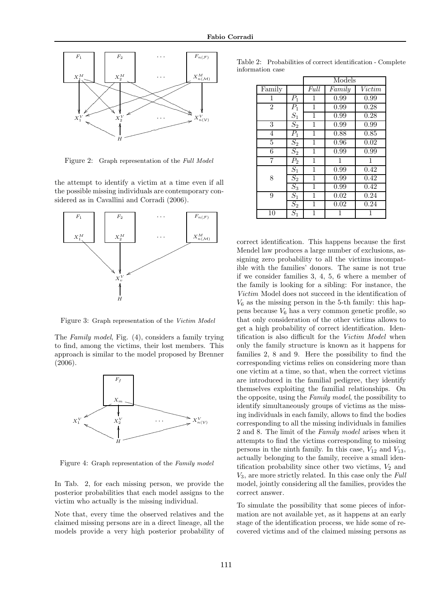

Figure 2: Graph representation of the Full Model

the attempt to identify a victim at a time even if all the possible missing individuals are contemporary considered as in Cavallini and Corradi (2006).



Figure 3: Graph representation of the Victim Model

The Family model, Fig. (4), considers a family trying to find, among the victims, their lost members. This approach is similar to the model proposed by Brenner (2006).



Figure 4: Graph representation of the Family model

In Tab. 2, for each missing person, we provide the posterior probabilities that each model assigns to the victim who actually is the missing individual.

Note that, every time the observed relatives and the claimed missing persons are in a direct lineage, all the models provide a very high posterior probability of

|                |                  | Models |        |                   |
|----------------|------------------|--------|--------|-------------------|
| Family         |                  | Full   | Family | Victim            |
| 1              | $P_1$            | 1      | 0.99   | 0.99              |
| $\overline{2}$ | $P_1$            | 1      | 0.99   | 0.28              |
|                | $S_1$            | 1      | 0.99   | 0.28              |
| 3              | $\overline{S_2}$ | 1      | 0.99   | 0.99              |
| $\overline{4}$ | $P_1$            | 1      | 0.88   | 0.85              |
| 5              | $S_2$            | 1      | 0.96   | 0.02              |
| 6              | $\overline{S_2}$ | 1      | 0.99   | $0.9\overline{9}$ |
| 7              | $\overline{P}_2$ | 1      | 1      | $\mathbf{1}$      |
|                | $S_1$            | 1      | 0.99   | 0.42              |
| 8              | $\overline{S_2}$ | 1      | 0.99   | 0.42              |
|                | $S_3$            | 1      | 0.99   | 0.42              |
| 9              | $S_1$            | 1      | 0.02   | 0.24              |
|                | $\overline{S_2}$ | 1      | 0.02   | 0.24              |
| 10             | $S_1$            | 1      |        | 1                 |

correct identification. This happens because the first Mendel law produces a large number of exclusions, assigning zero probability to all the victims incompatible with the families' donors. The same is not true if we consider families 3, 4, 5, 6 where a member of the family is looking for a sibling: For instance, the Victim Model does not succeed in the identification of  $V_6$  as the missing person in the 5-th family: this happens because  $V_6$  has a very common genetic profile, so that only consideration of the other victims allows to get a high probability of correct identification. Identification is also difficult for the Victim Model when only the family structure is known as it happens for families 2, 8 and 9. Here the possibility to find the corresponding victims relies on considering more than one victim at a time, so that, when the correct victims are introduced in the familial pedigree, they identify themselves exploiting the familial relationships. On the opposite, using the Family model, the possibility to identify simultaneously groups of victims as the missing individuals in each family, allows to find the bodies corresponding to all the missing individuals in families 2 and 8. The limit of the Family model arises when it attempts to find the victims corresponding to missing persons in the ninth family. In this case,  $V_{12}$  and  $V_{13}$ , actually belonging to the family, receive a small identification probability since other two victims,  $V_2$  and  $V_3$ , are more strictly related. In this case only the Full model, jointly considering all the families, provides the correct answer.

To simulate the possibility that some pieces of information are not available yet, as it happens at an early stage of the identification process, we hide some of recovered victims and of the claimed missing persons as

Table 2: Probabilities of correct identification - Complete information case